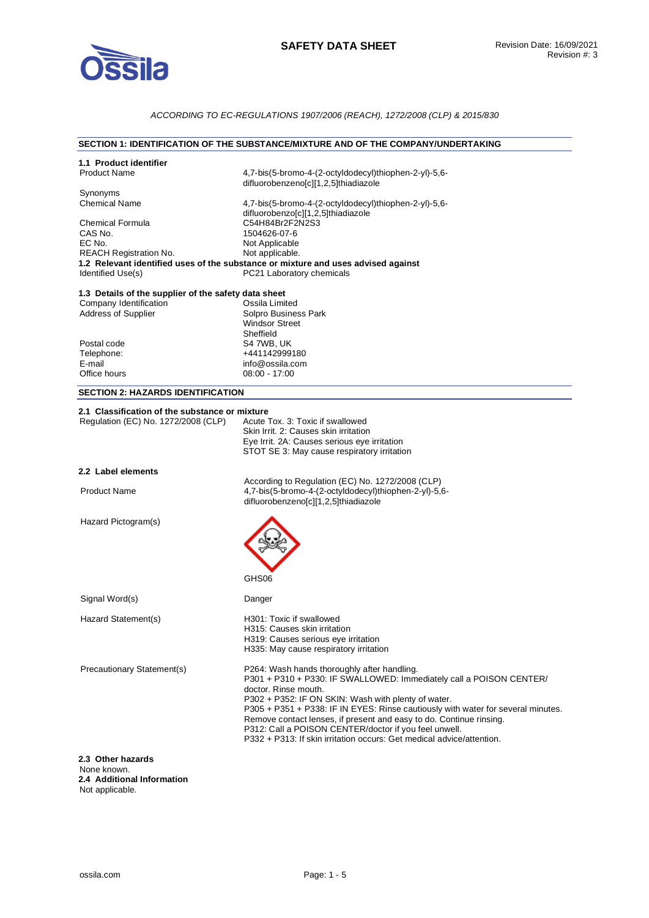

### *ACCORDING TO EC-REGULATIONS 1907/2006 (REACH), 1272/2008 (CLP) & 2015/830*

### **SECTION 1: IDENTIFICATION OF THE SUBSTANCE/MIXTURE AND OF THE COMPANY/UNDERTAKING**

| 1.1 Product identifier                               |                                                                                                                |
|------------------------------------------------------|----------------------------------------------------------------------------------------------------------------|
| <b>Product Name</b>                                  | 4,7-bis(5-bromo-4-(2-octyldodecyl)thiophen-2-yl)-5,6-<br>difluorobenzeno[c][1,2,5]thiadiazole                  |
| Synonyms                                             |                                                                                                                |
| <b>Chemical Name</b>                                 | 4,7-bis(5-bromo-4-(2-octyldodecyl)thiophen-2-yl)-5,6-<br>difluorobenzo[c][1,2,5]thiadiazole                    |
| <b>Chemical Formula</b>                              | C54H84Br2F2N2S3                                                                                                |
| CAS No.                                              | 1504626-07-6                                                                                                   |
|                                                      |                                                                                                                |
| EC No.                                               | Not Applicable                                                                                                 |
| <b>REACH Registration No.</b>                        | Not applicable.                                                                                                |
| Identified Use(s)                                    | 1.2 Relevant identified uses of the substance or mixture and uses advised against<br>PC21 Laboratory chemicals |
| 1.3 Details of the supplier of the safety data sheet |                                                                                                                |
| Company Identification                               | Ossila Limited                                                                                                 |
| Address of Supplier                                  | Solpro Business Park                                                                                           |
|                                                      |                                                                                                                |
|                                                      | <b>Windsor Street</b>                                                                                          |
|                                                      | Sheffield                                                                                                      |
| Postal code                                          | S4 7WB, UK                                                                                                     |
| Telephone:                                           | +441142999180                                                                                                  |
| E-mail                                               | info@ossila.com                                                                                                |
|                                                      |                                                                                                                |
| Office hours                                         | $08:00 - 17:00$                                                                                                |
| <b>SECTION 2: HAZARDS IDENTIFICATION</b>             |                                                                                                                |
| 2.1 Classification of the substance or mixture       |                                                                                                                |
| Regulation (EC) No. 1272/2008 (CLP)                  | Acute Tox, 3: Toxic if swallowed                                                                               |
|                                                      | Skin Irrit. 2: Causes skin irritation                                                                          |
|                                                      | Eye Irrit. 2A: Causes serious eye irritation                                                                   |
|                                                      | STOT SE 3: May cause respiratory irritation                                                                    |
|                                                      |                                                                                                                |
| 2.2 Label elements                                   |                                                                                                                |
|                                                      | According to Regulation (EC) No. 1272/2008 (CLP)                                                               |
| <b>Product Name</b>                                  | 4,7-bis(5-bromo-4-(2-octyldodecyl)thiophen-2-yl)-5,6-                                                          |
|                                                      | difluorobenzeno[c][1,2,5]thiadiazole                                                                           |
| Hazard Pictogram(s)                                  |                                                                                                                |
|                                                      |                                                                                                                |
|                                                      |                                                                                                                |
|                                                      |                                                                                                                |
|                                                      |                                                                                                                |
|                                                      | GHS06                                                                                                          |
| Signal Word(s)                                       | Danger                                                                                                         |
| Hazard Statement(s)                                  | H301: Toxic if swallowed                                                                                       |
|                                                      |                                                                                                                |
|                                                      | H315: Causes skin irritation                                                                                   |
|                                                      | H319: Causes serious eye irritation                                                                            |
|                                                      | H335: May cause respiratory irritation                                                                         |
| Precautionary Statement(s)                           | P264: Wash hands thoroughly after handling.                                                                    |
|                                                      | P301 + P310 + P330: IF SWALLOWED: Immediately call a POISON CENTER/                                            |
|                                                      |                                                                                                                |
|                                                      | doctor. Rinse mouth.                                                                                           |
|                                                      | P302 + P352: IF ON SKIN: Wash with plenty of water.                                                            |
|                                                      | P305 + P351 + P338: IF IN EYES: Rinse cautiously with water for several minutes.                               |
|                                                      | Remove contact lenses, if present and easy to do. Continue rinsing.                                            |
|                                                      | P312: Call a POISON CENTER/doctor if you feel unwell.                                                          |
|                                                      | P332 + P313: If skin irritation occurs: Get medical advice/attention.                                          |
|                                                      |                                                                                                                |
| 2.3 Other hazards<br>None known.                     |                                                                                                                |

**2.4 Additional Information**  Not applicable.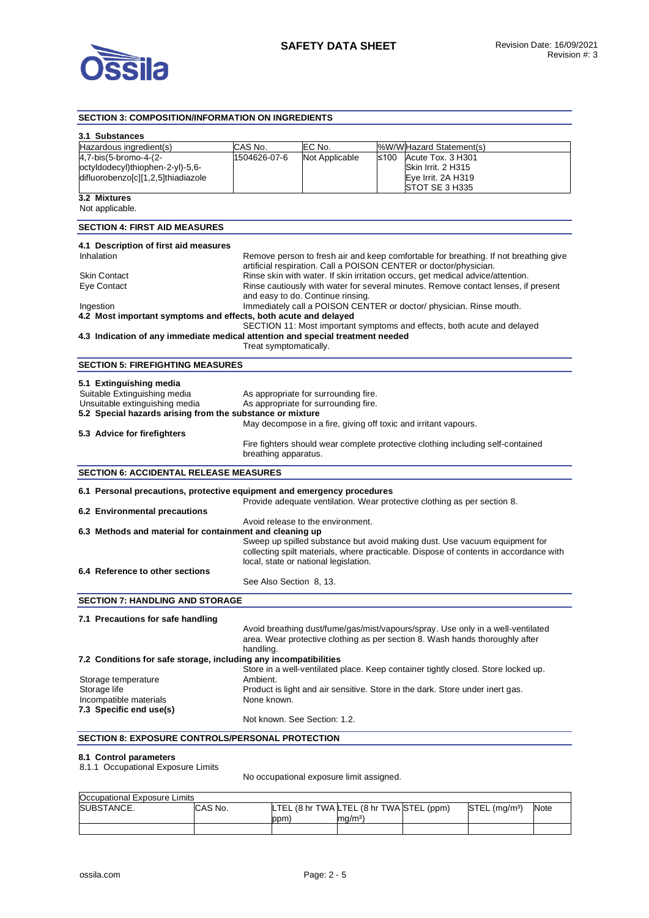

#### **SECTION 3: COMPOSITION/INFORMATION ON INGREDIENTS 3.1 Substances**  Hazardous ingredient(s) CAS No. CONDIEC No. Noting WWW Hazard Statement(s) 4,7-bis(5-bromo-4-(2 octyldodecyl)thiophen-2-yl)-5,6 difluorobenzo[c][1,2,5]thiadiazole 1504626-07-6 Not Applicable ≤100 Acute Tox. 3 H301 Skin Irrit. 2 H315 Eye Irrit. 2A H319 STOT SE 3 H335 **3.2 Mixtures**  Not applicable. **SECTION 4: FIRST AID MEASURES 4.1 Description of first aid measures**  Inhalation **Remove person to fresh air and keep comfortable for breathing. If not breathing give** artificial respiration. Call a POISON CENTER or doctor/physician. Skin Contact **Rinse skin with water. If skin irritation occurs**, get medical advice/attention. Eye Contact Rinse cautiously with water for several minutes. Remove contact lenses, if present and easy to do. Continue rinsing. Ingestion Immediately call a POISON CENTER or doctor/ physician. Rinse mouth. **4.2 Most important symptoms and effects, both acute and delayed**  SECTION 11: Most important symptoms and effects, both acute and delayed **4.3 Indication of any immediate medical attention and special treatment needed**  Treat symptomatically. **SECTION 5: FIREFIGHTING MEASURES 5.1 Extinguishing media**  Suitable Extinguishing media As appropriate for surrounding fire. Unsuitable extinguishing media As appropriate for surrounding fire. **5.2 Special hazards arising from the substance or mixture**  May decompose in a fire, giving off toxic and irritant vapours. **5.3 Advice for firefighters**  Fire fighters should wear complete protective clothing including self-contained breathing apparatus. **SECTION 6: ACCIDENTAL RELEASE MEASURES 6.1 Personal precautions, protective equipment and emergency procedures**  Provide adequate ventilation. Wear protective clothing as per section 8. **6.2 Environmental precautions**  Avoid release to the environment. **6.3 Methods and material for containment and cleaning up**  Sweep up spilled substance but avoid making dust. Use vacuum equipment for collecting spilt materials, where practicable. Dispose of contents in accordance with local, state or national legislation. **6.4 Reference to other sections**  See Also Section 8, 13. **SECTION 7: HANDLING AND STORAGE 7.1 Precautions for safe handling**  Avoid breathing dust/fume/gas/mist/vapours/spray. Use only in a well-ventilated area. Wear protective clothing as per section 8. Wash hands thoroughly after handling. **7.2 Conditions for safe storage, including any incompatibilities**  Store in a well-ventilated place. Keep container tightly closed. Store locked up. Storage temperature **Ambient.** Storage life **Product is light and air sensitive.** Store in the dark. Store under inert gas. Incompatible materials None known. **7.3 Specific end use(s)**  Not known. See Section: 1.2. **SECTION 8: EXPOSURE CONTROLS/PERSONAL PROTECTION**

#### **8.1 Control parameters**

8.1.1 Occupational Exposure Limits

No occupational exposure limit assigned.

| Occupational Exposure Limits |         |     |                                          |                             |      |
|------------------------------|---------|-----|------------------------------------------|-----------------------------|------|
| SUBSTANCE.                   | CAS No. |     | LTEL (8 hr TWA LTEL (8 hr TWA STEL (ppm) | $STEL$ (ma/m <sup>3</sup> ) | Note |
|                              |         | ppm | ma/m <sup>3</sup>                        |                             |      |
|                              |         |     |                                          |                             |      |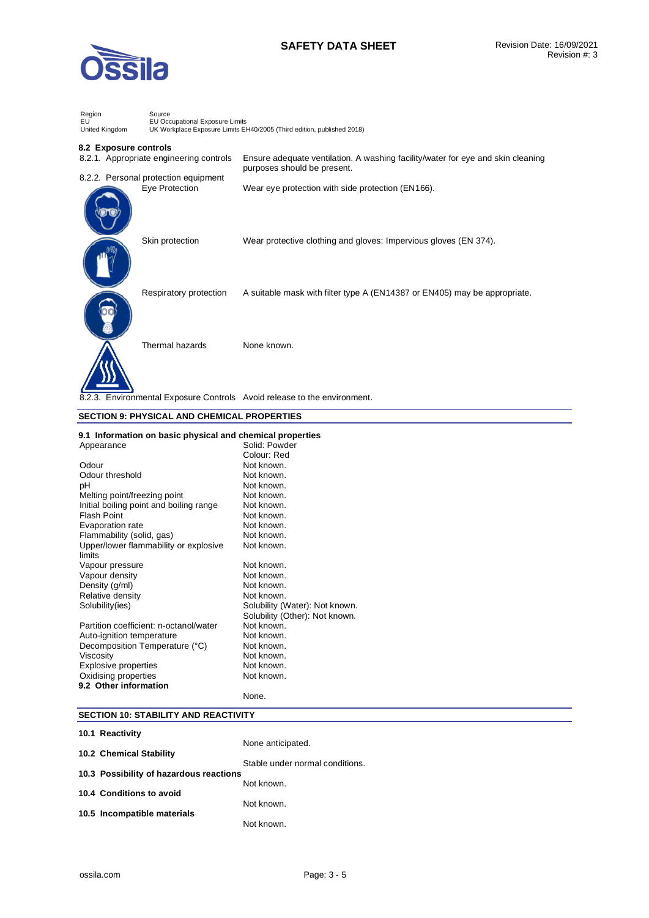

# **SAFETY DATA SHEET** Revision Date: 16/09/2021

| Region<br>EU<br>United Kingdom       | Source<br>EU Occupational Exposure Limits<br>UK Workplace Exposure Limits EH40/2005 (Third edition, published 2018) |                                                                                 |  |  |
|--------------------------------------|---------------------------------------------------------------------------------------------------------------------|---------------------------------------------------------------------------------|--|--|
| 8.2 Exposure controls                | 8.2.1. Appropriate engineering controls                                                                             | Ensure adequate ventilation. A washing facility/water for eye and skin cleaning |  |  |
| 8.2.2. Personal protection equipment |                                                                                                                     | purposes should be present.                                                     |  |  |
|                                      | Eye Protection                                                                                                      | Wear eye protection with side protection (EN166).                               |  |  |
|                                      | Skin protection                                                                                                     | Wear protective clothing and gloves: Impervious gloves (EN 374).                |  |  |
|                                      | Respiratory protection                                                                                              | A suitable mask with filter type A (EN14387 or EN405) may be appropriate.       |  |  |
|                                      | Thermal hazards                                                                                                     | None known.                                                                     |  |  |
|                                      |                                                                                                                     | 8.2.3. Environmental Exposure Controls Avoid release to the environment.        |  |  |

### **SECTION 9: PHYSICAL AND CHEMICAL PROPERTIES**

#### **9.1 Information on basic physical and chemical properties**  Appearance Solid: Powder

| Appearance                              | Solid: Powder                  |
|-----------------------------------------|--------------------------------|
|                                         | Colour: Red                    |
| Odour                                   | Not known.                     |
| Odour threshold                         | Not known.                     |
| рH                                      | Not known.                     |
| Melting point/freezing point            | Not known.                     |
| Initial boiling point and boiling range | Not known.                     |
| <b>Flash Point</b>                      | Not known.                     |
| Evaporation rate                        | Not known.                     |
| Flammability (solid, gas)               | Not known.                     |
| Upper/lower flammability or explosive   | Not known.                     |
| limits                                  |                                |
| Vapour pressure                         | Not known.                     |
| Vapour density                          | Not known.                     |
| Density (g/ml)                          | Not known.                     |
| Relative density                        | Not known.                     |
| Solubility(ies)                         | Solubility (Water): Not known. |
|                                         | Solubility (Other): Not known. |
| Partition coefficient: n-octanol/water  | Not known.                     |
| Auto-ignition temperature               | Not known.                     |
| Decomposition Temperature (°C)          | Not known.                     |
| Viscosity                               | Not known.                     |
| <b>Explosive properties</b>             | Not known.                     |
| Oxidising properties                    | Not known.                     |
| 9.2 Other information                   |                                |
|                                         | None.                          |

## **SECTION 10: STABILITY AND REACTIVITY**

| 10.1 Reactivity                         |                                 |
|-----------------------------------------|---------------------------------|
|                                         | None anticipated.               |
| 10.2 Chemical Stability                 |                                 |
| 10.3 Possibility of hazardous reactions | Stable under normal conditions. |
|                                         | Not known.                      |
| 10.4 Conditions to avoid                |                                 |
|                                         | Not known.                      |
| 10.5 Incompatible materials             | Not known.                      |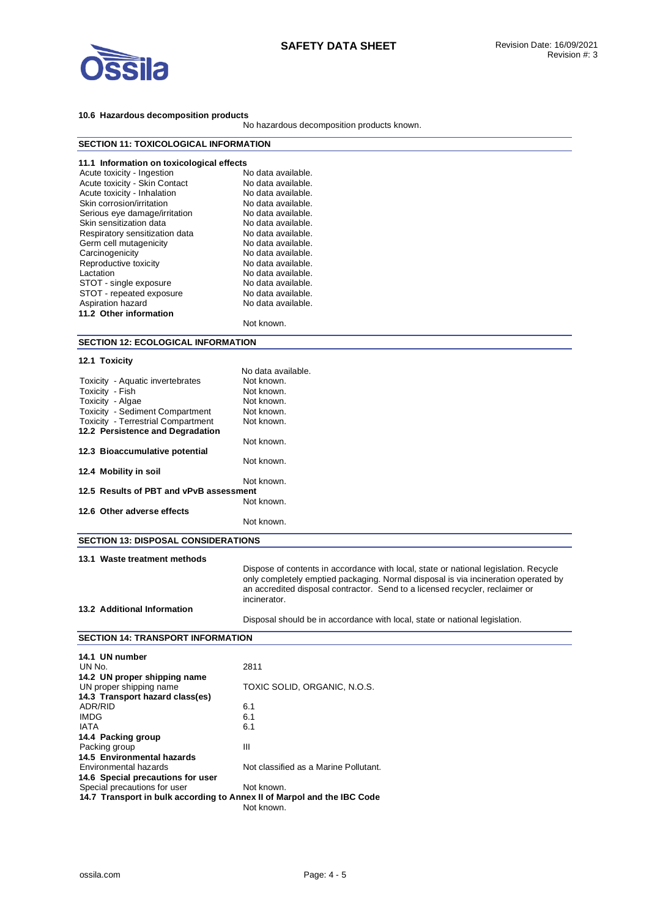

## **10.6 Hazardous decomposition products**

No hazardous decomposition products known.

| <b>SECTION 11: TOXICOLOGICAL INFORMATION</b>                            |                                                                                              |  |  |
|-------------------------------------------------------------------------|----------------------------------------------------------------------------------------------|--|--|
|                                                                         |                                                                                              |  |  |
| 11.1 Information on toxicological effects<br>Acute toxicity - Ingestion | No data available.                                                                           |  |  |
| Acute toxicity - Skin Contact                                           | No data available.                                                                           |  |  |
| Acute toxicity - Inhalation                                             | No data available.                                                                           |  |  |
| Skin corrosion/irritation                                               | No data available.                                                                           |  |  |
| Serious eye damage/irritation                                           | No data available.                                                                           |  |  |
| Skin sensitization data                                                 | No data available.                                                                           |  |  |
| Respiratory sensitization data                                          | No data available.                                                                           |  |  |
| Germ cell mutagenicity<br>Carcinogenicity                               | No data available.<br>No data available.                                                     |  |  |
| Reproductive toxicity                                                   | No data available.                                                                           |  |  |
| Lactation                                                               | No data available.                                                                           |  |  |
| STOT - single exposure                                                  | No data available.                                                                           |  |  |
| STOT - repeated exposure                                                | No data available.                                                                           |  |  |
| Aspiration hazard                                                       | No data available.                                                                           |  |  |
| 11.2 Other information                                                  |                                                                                              |  |  |
|                                                                         | Not known.                                                                                   |  |  |
| <b>SECTION 12: ECOLOGICAL INFORMATION</b>                               |                                                                                              |  |  |
| 12.1 Toxicity                                                           |                                                                                              |  |  |
|                                                                         | No data available.                                                                           |  |  |
| Toxicity - Aquatic invertebrates                                        | Not known.                                                                                   |  |  |
| Toxicity - Fish                                                         | Not known.                                                                                   |  |  |
| Toxicity - Algae<br>Toxicity - Sediment Compartment                     | Not known.<br>Not known.                                                                     |  |  |
| <b>Toxicity - Terrestrial Compartment</b>                               | Not known.                                                                                   |  |  |
| 12.2 Persistence and Degradation                                        |                                                                                              |  |  |
|                                                                         | Not known.                                                                                   |  |  |
| 12.3 Bioaccumulative potential                                          | Not known.                                                                                   |  |  |
| 12.4 Mobility in soil                                                   |                                                                                              |  |  |
| 12.5 Results of PBT and vPvB assessment                                 | Not known.                                                                                   |  |  |
|                                                                         | Not known.                                                                                   |  |  |
| 12.6 Other adverse effects                                              |                                                                                              |  |  |
|                                                                         | Not known.                                                                                   |  |  |
| <b>SECTION 13: DISPOSAL CONSIDERATIONS</b>                              |                                                                                              |  |  |
| 13.1 Waste treatment methods                                            |                                                                                              |  |  |
|                                                                         | Dispose of contents in accordance with local, state or national legislation. Recycle         |  |  |
|                                                                         | only completely emptied packaging. Normal disposal is via incineration operated by           |  |  |
|                                                                         | an accredited disposal contractor. Send to a licensed recycler, reclaimer or<br>incinerator. |  |  |
| 13.2 Additional Information                                             |                                                                                              |  |  |
|                                                                         | Disposal should be in accordance with local, state or national legislation.                  |  |  |
| <b>SECTION 14: TRANSPORT INFORMATION</b>                                |                                                                                              |  |  |
| 14.1 UN number                                                          |                                                                                              |  |  |
| UN No.                                                                  | 2811                                                                                         |  |  |
| 14.2 UN proper shipping name                                            |                                                                                              |  |  |
| UN proper shipping name                                                 | TOXIC SOLID, ORGANIC, N.O.S.                                                                 |  |  |
| 14.3 Transport hazard class(es)                                         |                                                                                              |  |  |
| ADR/RID                                                                 | 6.1                                                                                          |  |  |
| IMDG                                                                    | 6.1                                                                                          |  |  |
| <b>IATA</b>                                                             | 6.1                                                                                          |  |  |
| 14.4 Packing group<br>Packing group                                     | Ш                                                                                            |  |  |
| 14.5 Environmental hazards                                              |                                                                                              |  |  |
| Environmental hazards                                                   | Not classified as a Marine Pollutant.                                                        |  |  |
| 14.6 Special precautions for user                                       |                                                                                              |  |  |
| Special precautions for user                                            | Not known.                                                                                   |  |  |
| 14.7 Transport in bulk according to Annex II of Marpol and the IBC Code |                                                                                              |  |  |
|                                                                         | Not known.                                                                                   |  |  |